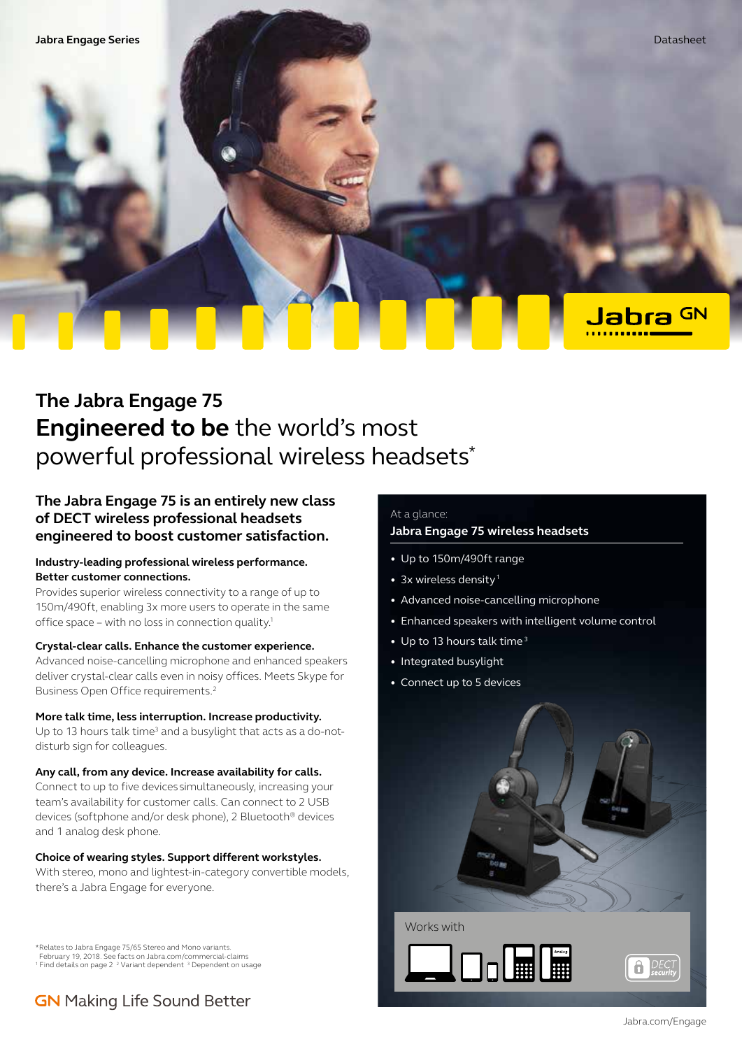Jabra <sup>GN</sup>

# **The Jabra Engage 75 Engineered to be** the world's most powerful professional wireless headsets\*

# **The Jabra Engage 75 is an entirely new class of DECT wireless professional headsets engineered to boost customer satisfaction.**

# **Industry-leading professional wireless performance. Better customer connections.**

Provides superior wireless connectivity to a range of up to 150m/490ft, enabling 3x more users to operate in the same office space – with no loss in connection quality.1

# **Crystal-clear calls. Enhance the customer experience.**

Advanced noise-cancelling microphone and enhanced speakers deliver crystal-clear calls even in noisy offices. Meets Skype for Business Open Office requirements.2

# **More talk time, less interruption. Increase productivity.**

Up to 13 hours talk time<sup>3</sup> and a busylight that acts as a do-notdisturb sign for colleagues.

#### **Any call, from any device. Increase availability for calls.**

Connect to up to five devices simultaneously, increasing your team's availability for customer calls. Can connect to 2 USB devices (softphone and/or desk phone), 2 Bluetooth® devices and 1 analog desk phone.

# **Choice of wearing styles. Support different workstyles.**

With stereo, mono and lightest-in-category convertible models, there's a Jabra Engage for everyone.

\*Relates to Jabra Engage 75/65 Stereo and Mono variants. February 19, 2018. See facts on Jabra.com/commercial-claims <sup>1</sup> Find details on page 2<sup>2</sup> Variant dependent<sup>3</sup> Dependent on usage

# **GN** Making Life Sound Better

# At a glance:

# **Jabra Engage 75 wireless headsets**

- Up to 150m/490ft range
- 3x wireless density<sup>1</sup>
- Advanced noise-cancelling microphone
- Enhanced speakers with intelligent volume control
- Up to 13 hours talk time<sup>3</sup>
- Integrated busylight
- Connect up to 5 devices